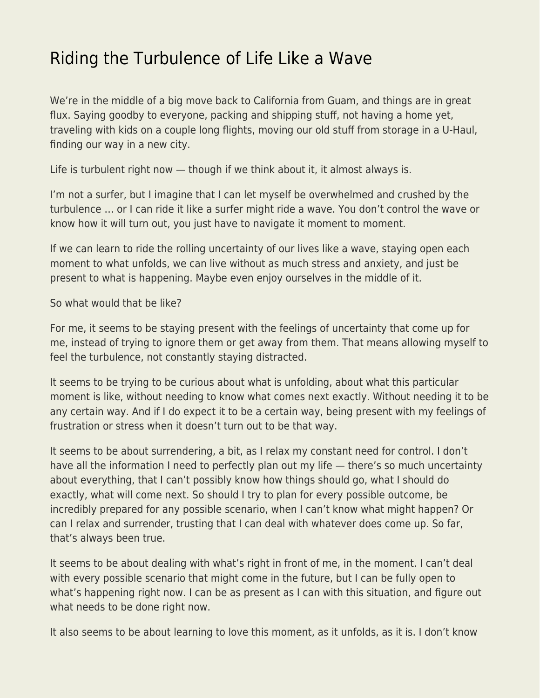## [Riding the Turbulence of Life Like a Wave](https://everything-voluntary.com/riding-the-turbulence-of-life-like-a-wave)

We're in the middle of a big move back to California from Guam, and things are in great flux. Saying goodby to everyone, packing and shipping stuff, not having a home yet, traveling with kids on a couple long flights, moving our old stuff from storage in a U-Haul, finding our way in a new city.

Life is turbulent right now — though if we think about it, it almost always is.

I'm not a surfer, but I imagine that I can let myself be overwhelmed and crushed by the turbulence … or I can ride it like a surfer might ride a wave. You don't control the wave or know how it will turn out, you just have to navigate it moment to moment.

If we can learn to ride the rolling uncertainty of our lives like a wave, staying open each moment to what unfolds, we can live without as much stress and anxiety, and just be present to what is happening. Maybe even enjoy ourselves in the middle of it.

So what would that be like?

For me, it seems to be staying present with the feelings of uncertainty that come up for me, instead of trying to ignore them or get away from them. That means allowing myself to feel the turbulence, not constantly staying distracted.

It seems to be trying to be curious about what is unfolding, about what this particular moment is like, without needing to know what comes next exactly. Without needing it to be any certain way. And if I do expect it to be a certain way, being present with my feelings of frustration or stress when it doesn't turn out to be that way.

It seems to be about surrendering, a bit, as I relax my constant need for control. I don't have all the information I need to perfectly plan out my life – there's so much uncertainty about everything, that I can't possibly know how things should go, what I should do exactly, what will come next. So should I try to plan for every possible outcome, be incredibly prepared for any possible scenario, when I can't know what might happen? Or can I relax and surrender, trusting that I can deal with whatever does come up. So far, that's always been true.

It seems to be about dealing with what's right in front of me, in the moment. I can't deal with every possible scenario that might come in the future, but I can be fully open to what's happening right now. I can be as present as I can with this situation, and figure out what needs to be done right now.

It also seems to be about learning to love this moment, as it unfolds, as it is. I don't know